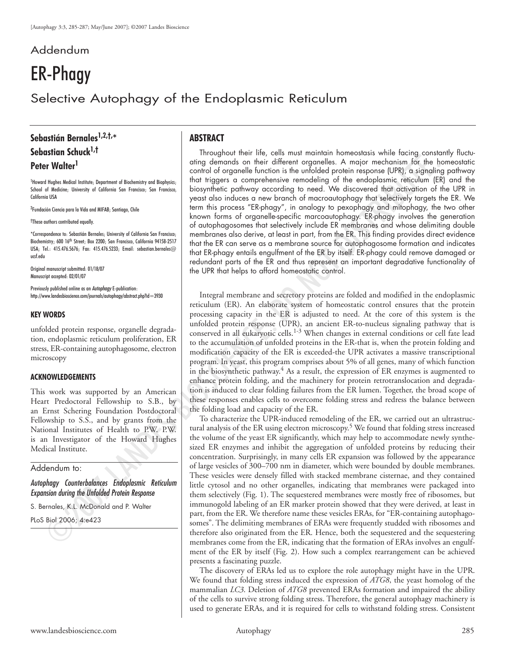## Addendum

# ER-Phagy Selective Autophagy of the Endoplasmic Reticulum

## **Sebastián Bernales1,2,†,\* Sebastian Schuck1,† Peter Walter1**

<sup>1</sup> Howard Hughes Medical Institute; Department of Biochemistry and Biophysics; School of Medicine; University of California San Francisco; San Francisco, California USA

2 Fundación Ciencia para la Vida and MIFAB; Santiago, Chile

† These authors contributed equally.

\*Correspondence to: Sebastián Bernales; University of California San Francisco; Biochemistry; 600 16<sup>th</sup> Street; Box 2200; San Francisco, California 94158-2517 USA; Tel.: 415.476.5676; Fax: 415.476.5233; Email: sebastian.bernales@ ucsf.edu

Original manuscript submitted: 01/18/07 Manuscript accepted: 02/01/07

Previously published online as an *Autophagy* E-publication: http://www.landesbioscience.com/journals/autophagy/abstract.php?id=3930

#### **Key words**

unfolded protein response, organelle degradation, endoplasmic reticulum proliferation, ER stress, ER-containing autophagosome, electron microscopy

#### **Acknowledgements**

This work was supported by an American Heart Predoctoral Fellowship to S.B., by an Ernst Schering Foundation Postdoctoral Fellowship to S.S., and by grants from the National Institutes of Health to P.W. P.W. is an Investigator of the Howard Hughes Medical Institute.

Addendum to:

*Autophagy Counterbalances Endoplasmic Reticulum Expansion during the Unfolded Protein Response*

S. Bernales, K.L. McDonald and P. Walter

PLoS Biol 2006; 4:e423

### **Abstract**

Throughout their life, cells must maintain homeostasis while facing constantly fluctuating demands on their different organelles. A major mechanism for the homeostatic control of organelle function is the unfolded protein response (UPR), a signaling pathway that triggers a comprehensive remodeling of the endoplasmic reticulum (ER) and the biosynthetic pathway according to need. We discovered that activation of the UPR in yeast also induces a new branch of macroautophagy that selectively targets the ER. We term this process "ER‑phagy", in analogy to pexophagy and mitophagy, the two other known forms of organelle‑specific marcoautophagy. ER‑phagy involves the generation of autophagosomes that selectively include ER membranes and whose delimiting double membranes also derive, at least in part, from the ER. This finding provides direct evidence that the ER can serve as a membrane source for autophagosome formation and indicates that ER‑phagy entails engulfment of the ER by itself. ER‑phagy could remove damaged or redundant parts of the ER and thus represent an important degradative functionality of the UPR that helps to afford homeostatic control.

Integral membrane and secretory proteins are folded and modified in the endoplasmic reticulum (ER). An elaborate system of homeostatic control ensures that the protein processing capacity in the ER is adjusted to need. At the core of this system is the unfolded protein response (UPR), an ancient ER-to-nucleus signaling pathway that is conserved in all eukaryotic cells.1-3 When changes in external conditions or cell fate lead to the accumulation of unfolded proteins in the ER-that is, when the protein folding and modification capacity of the ER is exceeded-the UPR activates a massive transcriptional program. In yeast, this program comprises about 5% of all genes, many of which function in the biosynthetic pathway.<sup>4</sup> As a result, the expression of ER enzymes is augmented to enhance protein folding, and the machinery for protein retrotranslocation and degradation is induced to clear folding failures from the ER lumen. Together, the broad scope of these responses enables cells to overcome folding stress and redress the balance between the folding load and capacity of the ER.

©2007 LANDES BIOSCIENCE. DO NOT DISTRIBUTE. To characterize the UPR-induced remodeling of the ER, we carried out an ultrastructural analysis of the ER using electron microscopy.<sup>5</sup> We found that folding stress increased the volume of the yeast ER significantly, which may help to accommodate newly synthesized ER enzymes and inhibit the aggregation of unfolded proteins by reducing their concentration. Surprisingly, in many cells ER expansion was followed by the appearance of large vesicles of 300–700 nm in diameter, which were bounded by double membranes. These vesicles were densely filled with stacked membrane cisternae, and they contained little cytosol and no other organelles, indicating that membranes were packaged into them selectively (Fig. 1). The sequestered membranes were mostly free of ribosomes, but immunogold labeling of an ER marker protein showed that they were derived, at least in part, from the ER. We therefore name these vesicles ERAs, for "ER-containing autophagosomes". The delimiting membranes of ERAs were frequently studded with ribosomes and therefore also originated from the ER. Hence, both the sequestered and the sequestering membranes come from the ER, indicating that the formation of ERAs involves an engulfment of the ER by itself (Fig. 2). How such a complex rearrangement can be achieved presents a fascinating puzzle.

The discovery of ERAs led us to explore the role autophagy might have in the UPR. We found that folding stress induced the expression of *ATG8*, the yeast homolog of the mammalian *LC3*. Deletion of *ATG8* prevented ERAs formation and impaired the ability of the cells to survive strong folding stress. Therefore, the general autophagy machinery is used to generate ERAs, and it is required for cells to withstand folding stress. Consistent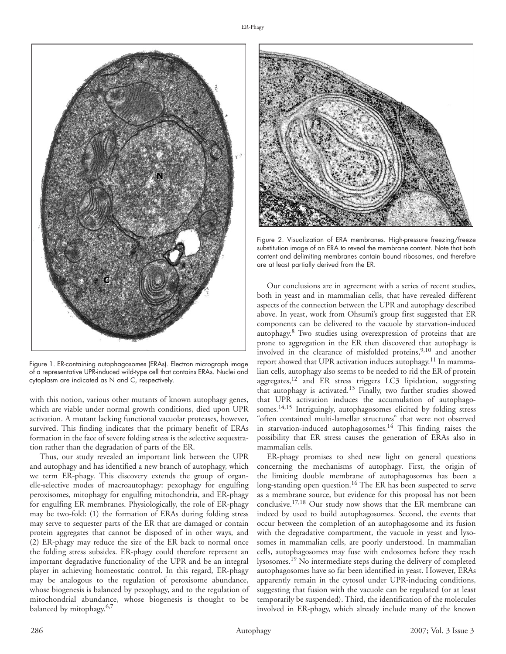

Figure 1. ER‑containing autophagosomes (ERAs). Electron micrograph image of a representative UPR‑induced wild‑type cell that contains ERAs. Nuclei and cytoplasm are indicated as N and C, respectively.

with this notion, various other mutants of known autophagy genes, which are viable under normal growth conditions, died upon UPR activation. A mutant lacking functional vacuolar proteases, however, survived. This finding indicates that the primary benefit of ERAs formation in the face of severe folding stress is the selective sequestration rather than the degradation of parts of the ER.

Thus, our study revealed an important link between the UPR and autophagy and has identified a new branch of autophagy, which we term ER-phagy. This discovery extends the group of organelle-selective modes of macroautophagy: pexophagy for engulfing peroxisomes, mitophagy for engulfing mitochondria, and ER-phagy for engulfing ER membranes. Physiologically, the role of ER-phagy may be two-fold: (1) the formation of ERAs during folding stress may serve to sequester parts of the ER that are damaged or contain protein aggregates that cannot be disposed of in other ways, and (2) ER-phagy may reduce the size of the ER back to normal once the folding stress subsides. ER-phagy could therefore represent an important degradative functionality of the UPR and be an integral player in achieving homeostatic control. In this regard, ER-phagy may be analogous to the regulation of peroxisome abundance, whose biogenesis is balanced by pexophagy, and to the regulation of mitochondrial abundance, whose biogenesis is thought to be balanced by mitophagy.<sup>6,7</sup>



Figure 2. Visualization of ERA membranes. High-pressure freezing/freeze substitution image of an ERA to reveal the membrane content. Note that both content and delimiting membranes contain bound ribosomes, and therefore are at least partially derived from the ER.

Our conclusions are in agreement with a series of recent studies, both in yeast and in mammalian cells, that have revealed different aspects of the connection between the UPR and autophagy described above. In yeast, work from Ohsumi's group first suggested that ER components can be delivered to the vacuole by starvation-induced autophagy.8 Two studies using overexpression of proteins that are prone to aggregation in the ER then discovered that autophagy is involved in the clearance of misfolded proteins,<sup>9,10</sup> and another report showed that UPR activation induces autophagy.<sup>11</sup> In mammalian cells, autophagy also seems to be needed to rid the ER of protein aggregates,12 and ER stress triggers LC3 lipidation, suggesting that autophagy is activated.13 Finally, two further studies showed that UPR activation induces the accumulation of autophagosomes.14,15 Intriguingly, autophagosomes elicited by folding stress "often contained multi-lamellar structures" that were not observed in starvation-induced autophagosomes.14 This finding raises the possibility that ER stress causes the generation of ERAs also in mammalian cells.

ER-phagy promises to shed new light on general questions concerning the mechanisms of autophagy. First, the origin of the limiting double membrane of autophagosomes has been a long-standing open question.<sup>16</sup> The ER has been suspected to serve as a membrane source, but evidence for this proposal has not been conclusive.17,18 Our study now shows that the ER membrane can indeed by used to build autophagosomes. Second, the events that occur between the completion of an autophagosome and its fusion with the degradative compartment, the vacuole in yeast and lysosomes in mammalian cells, are poorly understood. In mammalian cells, autophagosomes may fuse with endosomes before they reach lysosomes.19 No intermediate steps during the delivery of completed autophagosomes have so far been identified in yeast. However, ERAs apparently remain in the cytosol under UPR-inducing conditions, suggesting that fusion with the vacuole can be regulated (or at least temporarily be suspended). Third, the identification of the molecules involved in ER-phagy, which already include many of the known